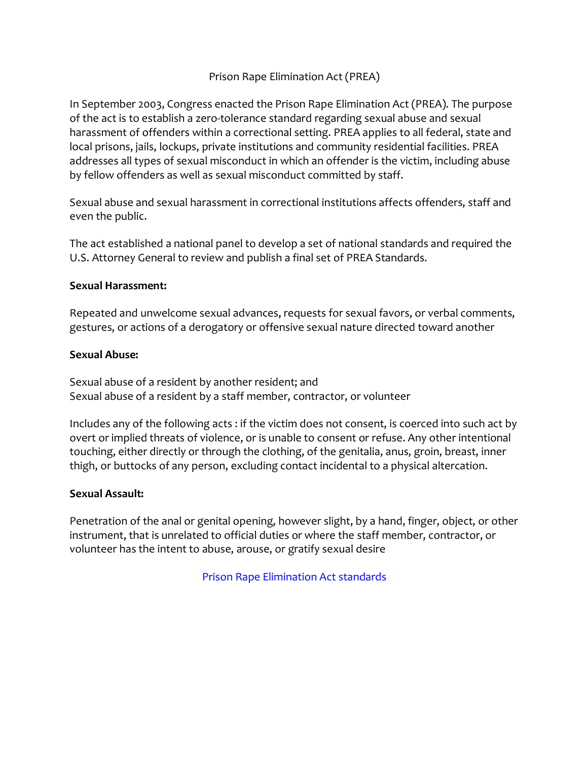# Prison Rape Elimination Act (PREA)

In September 2003, Congress enacted the Prison Rape Elimination Act (PREA). The purpose of the act is to establish a zero-tolerance standard regarding sexual abuse and sexual harassment of offenders within a correctional setting. PREA applies to all federal, state and local prisons, jails, lockups, private institutions and community residential facilities. PREA addresses all types of sexual misconduct in which an offender is the victim, including abuse by fellow offenders as well as sexual misconduct committed by staff.

Sexual abuse and sexual harassment in correctional institutions affects offenders, staff and even the public.

The act established a national panel to develop a set of national standards and required the U.S. Attorney General to review and publish a final set of PREA Standards.

## **Sexual Harassment:**

Repeated and unwelcome sexual advances, requests for sexual favors, or verbal comments, gestures, or actions of a derogatory or offensive sexual nature directed toward another

## **Sexual Abuse:**

Sexual abuse of a resident by another resident; and Sexual abuse of a resident by a staff member, contractor, or volunteer

Includes any of the following acts : if the victim does not consent, is coerced into such act by overt or implied threats of violence, or is unable to consent or refuse. Any other intentional touching, either directly or through the clothing, of the genitalia, anus, groin, breast, inner thigh, or buttocks of any person, excluding contact incidental to a physical altercation.

#### **Sexual Assault:**

Penetration of the anal or genital opening, however slight, by a hand, finger, object, or other instrument, that is unrelated to official duties or where the staff member, contractor, or volunteer has the intent to abuse, arouse, or gratify sexual desire

Prison Rape Elimination Act standards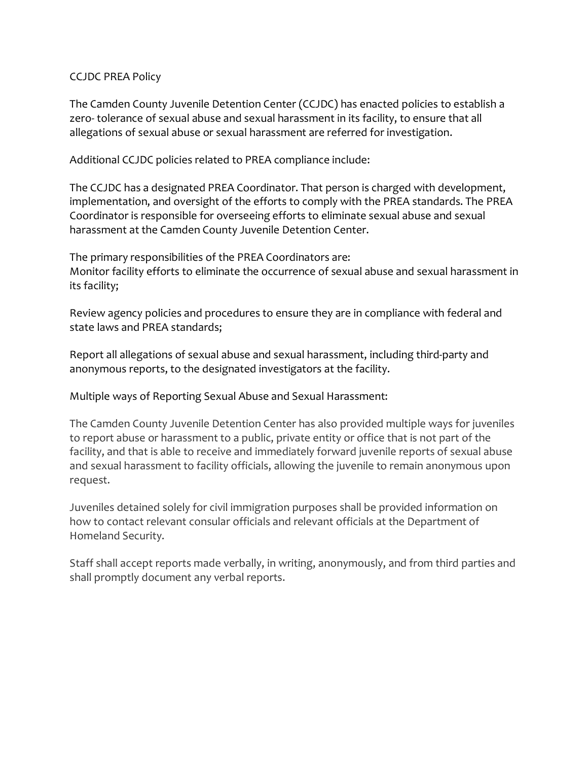# CCJDC PREA Policy

The Camden County Juvenile Detention Center (CCJDC) has enacted policies to establish a zero- tolerance of sexual abuse and sexual harassment in its facility, to ensure that all allegations of sexual abuse or sexual harassment are referred for investigation.

Additional CCJDC policies related to PREA compliance include:

The CCJDC has a designated PREA Coordinator. That person is charged with development, implementation, and oversight of the efforts to comply with the PREA standards. The PREA Coordinator is responsible for overseeing efforts to eliminate sexual abuse and sexual harassment at the Camden County Juvenile Detention Center.

The primary responsibilities of the PREA Coordinators are: Monitor facility efforts to eliminate the occurrence of sexual abuse and sexual harassment in its facility;

Review agency policies and procedures to ensure they are in compliance with federal and state laws and PREA standards;

Report all allegations of sexual abuse and sexual harassment, including third-party and anonymous reports, to the designated investigators at the facility.

Multiple ways of Reporting Sexual Abuse and Sexual Harassment:

The Camden County Juvenile Detention Center has also provided multiple ways for juveniles to report abuse or harassment to a public, private entity or office that is not part of the facility, and that is able to receive and immediately forward juvenile reports of sexual abuse and sexual harassment to facility officials, allowing the juvenile to remain anonymous upon request.

Juveniles detained solely for civil immigration purposes shall be provided information on how to contact relevant consular officials and relevant officials at the Department of Homeland Security.

Staff shall accept reports made verbally, in writing, anonymously, and from third parties and shall promptly document any verbal reports.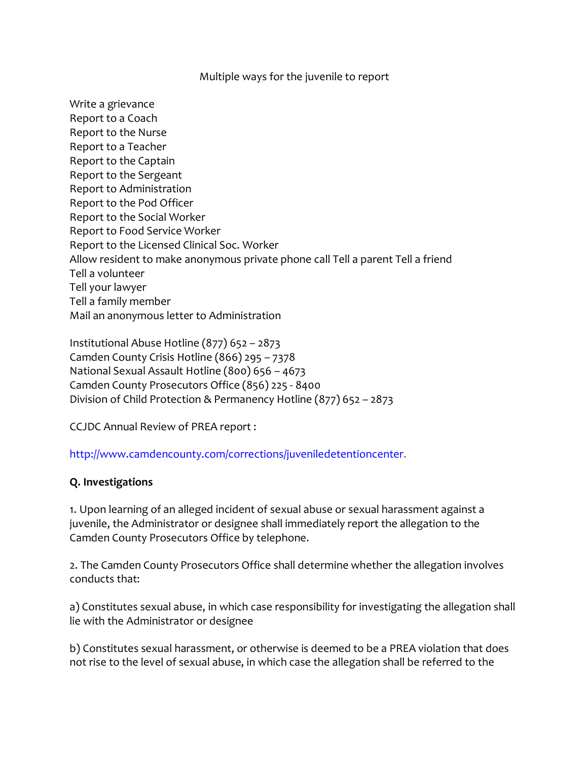## Multiple ways for the juvenile to report

Write a grievance Report to a Coach Report to the Nurse Report to a Teacher Report to the Captain Report to the Sergeant Report to Administration Report to the Pod Officer Report to the Social Worker Report to Food Service Worker Report to the Licensed Clinical Soc. Worker Allow resident to make anonymous private phone call Tell a parent Tell a friend Tell a volunteer Tell your lawyer Tell a family member Mail an anonymous letter to Administration

Institutional Abuse Hotline (877) 652 – 2873 Camden County Crisis Hotline (866) 295 – 7378 National Sexual Assault Hotline (800) 656 – 4673 Camden County Prosecutors Office (856) 225 - 8400 Division of Child Protection & Permanency Hotline (877) 652 – 2873

CCJDC Annual Review of PREA report :

http://www.camdencounty.com/corrections/juveniledetentioncenter.

# **Q. Investigations**

1. Upon learning of an alleged incident of sexual abuse or sexual harassment against a juvenile, the Administrator or designee shall immediately report the allegation to the Camden County Prosecutors Office by telephone.

2. The Camden County Prosecutors Office shall determine whether the allegation involves conducts that:

a) Constitutes sexual abuse, in which case responsibility for investigating the allegation shall lie with the Administrator or designee

b) Constitutes sexual harassment, or otherwise is deemed to be a PREA violation that does not rise to the level of sexual abuse, in which case the allegation shall be referred to the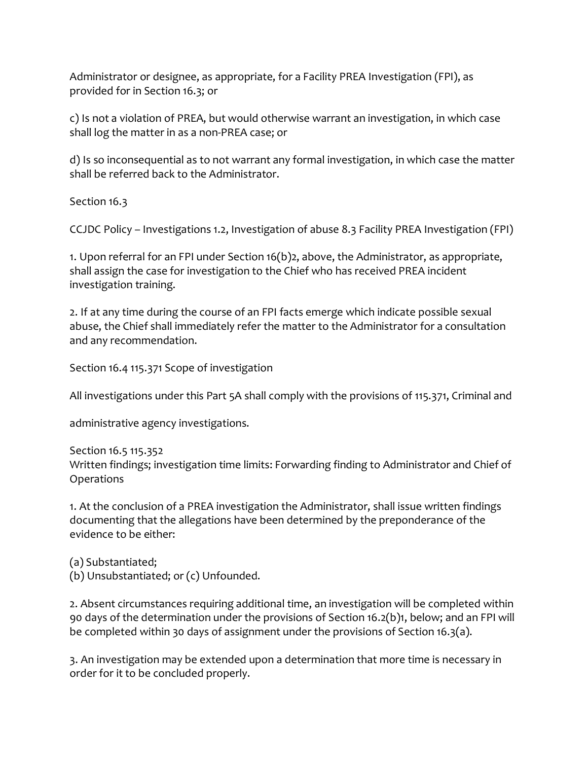Administrator or designee, as appropriate, for a Facility PREA Investigation (FPI), as provided for in Section 16.3; or

c) Is not a violation of PREA, but would otherwise warrant an investigation, in which case shall log the matter in as a non-PREA case; or

d) Is so inconsequential as to not warrant any formal investigation, in which case the matter shall be referred back to the Administrator.

Section 16.3

CCJDC Policy – Investigations 1.2, Investigation of abuse 8.3 Facility PREA Investigation (FPI)

1. Upon referral for an FPI under Section 16(b)2, above, the Administrator, as appropriate, shall assign the case for investigation to the Chief who has received PREA incident investigation training.

2. If at any time during the course of an FPI facts emerge which indicate possible sexual abuse, the Chief shall immediately refer the matter to the Administrator for a consultation and any recommendation.

Section 16.4 115.371 Scope of investigation

All investigations under this Part 5A shall comply with the provisions of 115.371, Criminal and

administrative agency investigations.

Section 16.5 115.352 Written findings; investigation time limits: Forwarding finding to Administrator and Chief of Operations

1. At the conclusion of a PREA investigation the Administrator, shall issue written findings documenting that the allegations have been determined by the preponderance of the evidence to be either:

(a) Substantiated; (b) Unsubstantiated; or (c) Unfounded.

2. Absent circumstances requiring additional time, an investigation will be completed within 90 days of the determination under the provisions of Section 16.2(b)1, below; and an FPI will be completed within 30 days of assignment under the provisions of Section 16.3(a).

3. An investigation may be extended upon a determination that more time is necessary in order for it to be concluded properly.